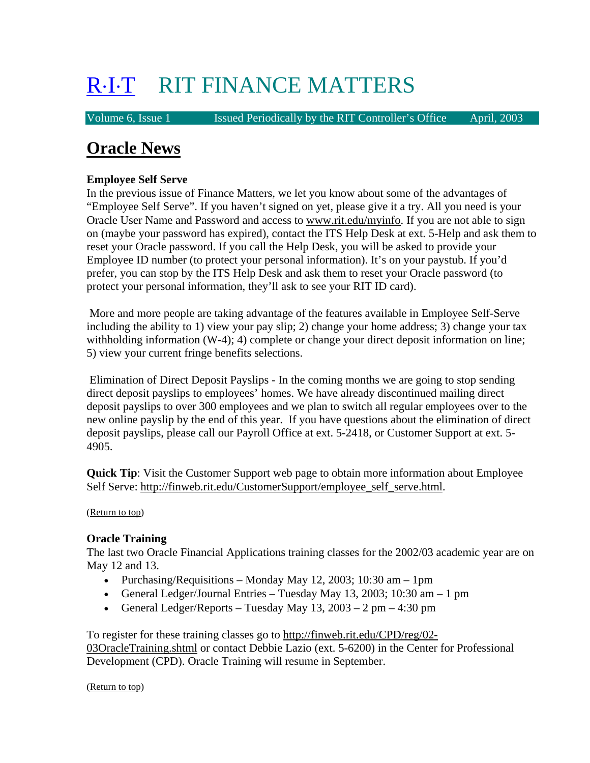# R⋅I⋅T RIT FINANCE MATTERS

Volume 6, Issue 1 Issued Periodically by the RIT Controller's Office April, 2003

# **Oracle News**

# **Employee Self Serve**

In the previous issue of Finance Matters, we let you know about some of the advantages of "Employee Self Serve". If you haven't signed on yet, please give it a try. All you need is your Oracle User Name and Password and access to www.rit.edu/myinfo. If you are not able to sign on (maybe your password has expired), contact the ITS Help Desk at ext. 5-Help and ask them to reset your Oracle password. If you call the Help Desk, you will be asked to provide your Employee ID number (to protect your personal information). It's on your paystub. If you'd prefer, you can stop by the ITS Help Desk and ask them to reset your Oracle password (to protect your personal information, they'll ask to see your RIT ID card).

 More and more people are taking advantage of the features available in Employee Self-Serve including the ability to 1) view your pay slip; 2) change your home address; 3) change your tax withholding information (W-4); 4) complete or change your direct deposit information on line; 5) view your current fringe benefits selections.

 Elimination of Direct Deposit Payslips - In the coming months we are going to stop sending direct deposit payslips to employees' homes. We have already discontinued mailing direct deposit payslips to over 300 employees and we plan to switch all regular employees over to the new online payslip by the end of this year. If you have questions about the elimination of direct deposit payslips, please call our Payroll Office at ext. 5-2418, or Customer Support at ext. 5- 4905.

**Quick Tip**: Visit the Customer Support web page to obtain more information about Employee Self Serve: http://finweb.rit.edu/CustomerSupport/employee\_self\_serve.html.

(Return to top)

# **Oracle Training**

The last two Oracle Financial Applications training classes for the 2002/03 academic year are on May 12 and 13.

- Purchasing/Requisitions Monday May 12, 2003; 10:30 am 1pm
- General Ledger/Journal Entries Tuesday May 13, 2003; 10:30 am 1 pm
- General Ledger/Reports Tuesday May  $13, 2003 2$  pm 4:30 pm

To register for these training classes go to http://finweb.rit.edu/CPD/reg/02- 03OracleTraining.shtml or contact Debbie Lazio (ext. 5-6200) in the Center for Professional Development (CPD). Oracle Training will resume in September.

(Return to top)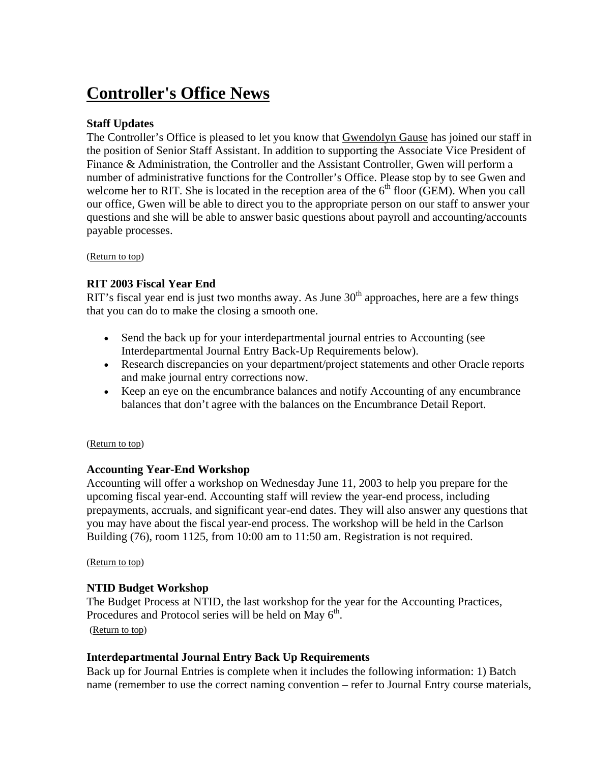# **Controller's Office News**

# **Staff Updates**

The Controller's Office is pleased to let you know that **Gwendolyn Gause** has joined our staff in the position of Senior Staff Assistant. In addition to supporting the Associate Vice President of Finance & Administration, the Controller and the Assistant Controller, Gwen will perform a number of administrative functions for the Controller's Office. Please stop by to see Gwen and welcome her to RIT. She is located in the reception area of the  $6<sup>th</sup>$  floor (GEM). When you call our office, Gwen will be able to direct you to the appropriate person on our staff to answer your questions and she will be able to answer basic questions about payroll and accounting/accounts payable processes.

(Return to top)

# **RIT 2003 Fiscal Year End**

RIT's fiscal year end is just two months away. As June  $30<sup>th</sup>$  approaches, here are a few things that you can do to make the closing a smooth one.

- Send the back up for your interdepartmental journal entries to Accounting (see Interdepartmental Journal Entry Back-Up Requirements below).
- Research discrepancies on your department/project statements and other Oracle reports and make journal entry corrections now.
- Keep an eye on the encumbrance balances and notify Accounting of any encumbrance balances that don't agree with the balances on the Encumbrance Detail Report.

#### (Return to top)

# **Accounting Year-End Workshop**

Accounting will offer a workshop on Wednesday June 11, 2003 to help you prepare for the upcoming fiscal year-end. Accounting staff will review the year-end process, including prepayments, accruals, and significant year-end dates. They will also answer any questions that you may have about the fiscal year-end process. The workshop will be held in the Carlson Building (76), room 1125, from 10:00 am to 11:50 am. Registration is not required.

#### (Return to top)

# **NTID Budget Workshop**

The Budget Process at NTID, the last workshop for the year for the Accounting Practices, Procedures and Protocol series will be held on May  $6<sup>th</sup>$ . (Return to top)

# **Interdepartmental Journal Entry Back Up Requirements**

Back up for Journal Entries is complete when it includes the following information: 1) Batch name (remember to use the correct naming convention – refer to Journal Entry course materials,